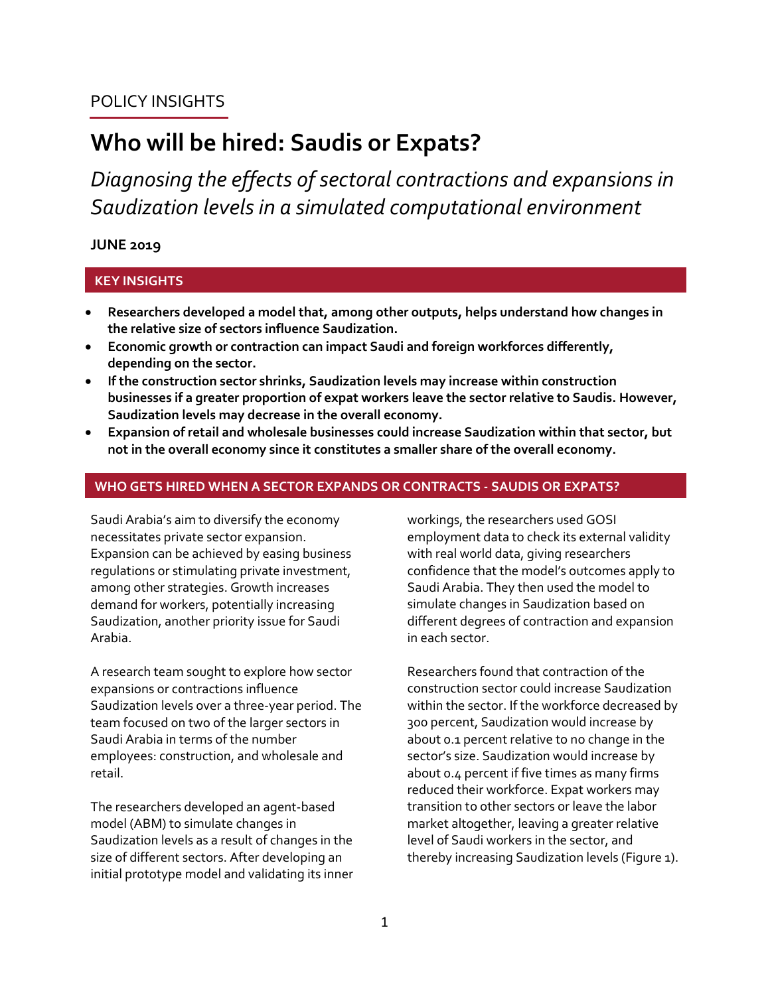# POLICY INSIGHTS

# **Who will be hired: Saudis or Expats?**

*Diagnosing the effects of sectoral contractions and expansions in Saudization levels in a simulated computational environment*

## **JUNE 2019**

## **KEY INSIGHTS**

- **Researchers developed a model that, among other outputs, helps understand how changes in the relative size of sectors influence Saudization.**
- **Economic growth or contraction can impact Saudi and foreign workforces differently, depending on the sector.**
- **If the construction sector shrinks, Saudization levels may increase within construction businesses if a greater proportion of expat workers leave the sector relative to Saudis. However, Saudization levels may decrease in the overall economy.**
- **Expansion of retail and wholesale businesses could increase Saudization within that sector, but not in the overall economy since it constitutes a smaller share of the overall economy.**

#### **WHO GETS HIRED WHEN A SECTOR EXPANDS OR CONTRACTS - SAUDIS OR EXPATS?**

Saudi Arabia's aim to diversify the economy necessitates private sector expansion. Expansion can be achieved by easing business regulations or stimulating private investment, among other strategies. Growth increases demand for workers, potentially increasing Saudization, another priority issue for Saudi Arabia.

A research team sought to explore how sector expansions or contractions influence Saudization levels over a three-year period. The team focused on two of the larger sectors in Saudi Arabia in terms of the number employees: construction, and wholesale and retail.

The researchers developed an agent-based model (ABM) to simulate changes in Saudization levels as a result of changes in the size of different sectors. After developing an initial prototype model and validating its inner workings, the researchers used GOSI employment data to check its external validity with real world data, giving researchers confidence that the model's outcomes apply to Saudi Arabia. They then used the model to simulate changes in Saudization based on different degrees of contraction and expansion in each sector.

Researchers found that contraction of the construction sector could increase Saudization within the sector. If the workforce decreased by 300 percent, Saudization would increase by about 0.1 percent relative to no change in the sector's size. Saudization would increase by about 0.4 percent if five times as many firms reduced their workforce. Expat workers may transition to other sectors or leave the labor market altogether, leaving a greater relative level of Saudi workers in the sector, and thereby increasing Saudization levels (Figure 1).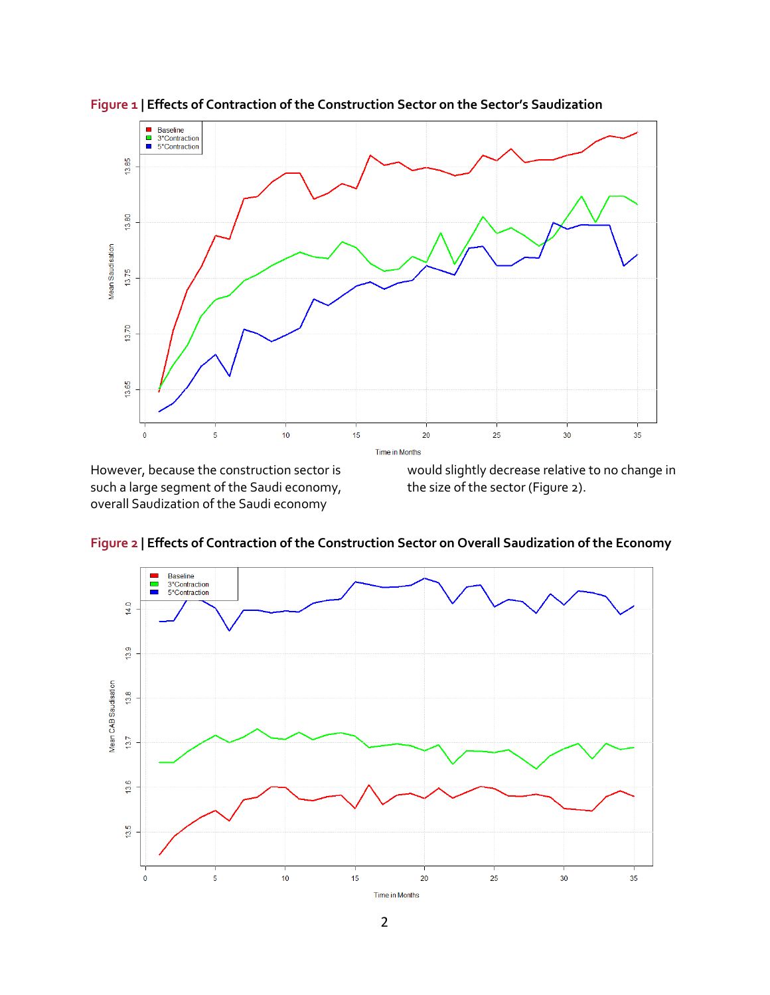

**Figure 1 | Effects of Contraction of the Construction Sector on the Sector's Saudization**

However, because the construction sector is such a large segment of the Saudi economy, overall Saudization of the Saudi economy

would slightly decrease relative to no change in the size of the sector (Figure 2).



**Figure 2 | Effects of Contraction of the Construction Sector on Overall Saudization of the Economy**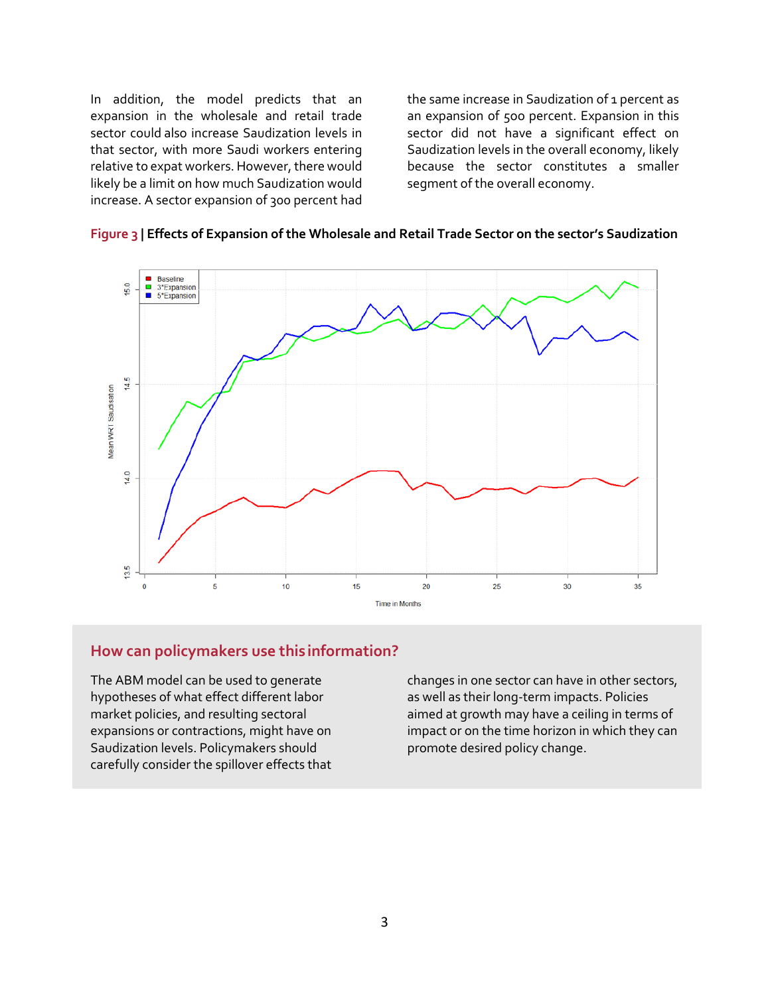In addition, the model predicts that an expansion in the wholesale and retail trade sector could also increase Saudization levels in that sector, with more Saudi workers entering relative to expat workers. However, there would likely be a limit on how much Saudization would increase. A sector expansion of 300 percent had

the same increase in Saudization of 1 percent as an expansion of 5oo percent. Expansion in this sector did not have a significant effect on Saudization levels in the overall economy, likely because the sector constitutes a smaller segment of the overall economy.





### **How can policymakers use this information?**

The ABM model can be used to generate hypotheses of what effect different labor market policies, and resulting sectoral expansions or contractions, might have on Saudization levels. Policymakers should carefully consider the spillover effects that

changes in one sector can have in other sectors, as well as their long-term impacts. Policies aimed at growth may have a ceiling in terms of impact or on the time horizon in which they can promote desired policy change.